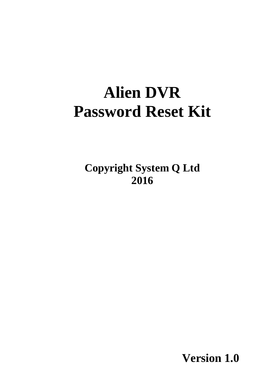# **Alien DVR Password Reset Kit**

**Copyright System Q Ltd 2016**

**Version 1.0**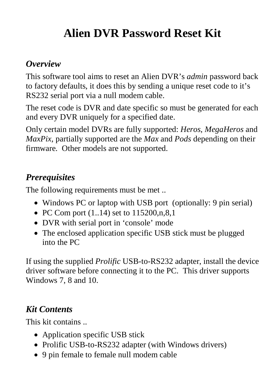# **Alien DVR Password Reset Kit**

# *Overview*

This software tool aims to reset an Alien DVR's *admin* password back to factory defaults, it does this by sending a unique reset code to it's RS232 serial port via a null modem cable.

The reset code is DVR and date specific so must be generated for each and every DVR uniquely for a specified date.

Only certain model DVRs are fully supported: *Heros*, *MegaHeros* and *MaxPix*, partially supported are the *Max* and *Pods* depending on their firmware. Other models are not supported.

# *Prerequisites*

The following requirements must be met ..

- Windows PC or laptop with USB port (optionally: 9 pin serial)
- PC Com port  $(1..14)$  set to  $115200,n,8,1$
- DVR with serial port in 'console' mode
- The enclosed application specific USB stick must be plugged into the PC

If using the supplied *Prolific* USB-to-RS232 adapter, install the device driver software before connecting it to the PC. This driver supports Windows 7, 8 and 10.

## *Kit Contents*

This kit contains ..

- Application specific USB stick
- Prolific USB-to-RS232 adapter (with Windows drivers)
- 9 pin female to female null modem cable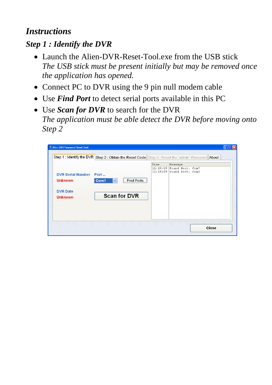### *Instructions*

#### *Step 1 : Identify the DVR*

- Launch the Alien-DVR-Reset-Tool.exe from the USB stick *The USB stick must be present initially but may be removed once the application has opened.*
- Connect PC to DVR using the 9 pin null modem cable
- Use *Find Port* to detect serial ports available in this PC
- Use *Scan for DVR* to search for the DVR *The application must be able detect the DVR before moving onto Step 2*

| DVR Serial Number Port            |                                           | Time<br>11:19:09 | Message<br>Found Port: Com7 |
|-----------------------------------|-------------------------------------------|------------------|-----------------------------|
| <b>Unknown</b>                    | <b>Find Ports</b><br>Com1<br>$\checkmark$ |                  | 11:19:09 Found Port: Com1   |
| <b>DVR Date</b><br><b>Unknown</b> | <b>Scan for DVR</b>                       |                  |                             |